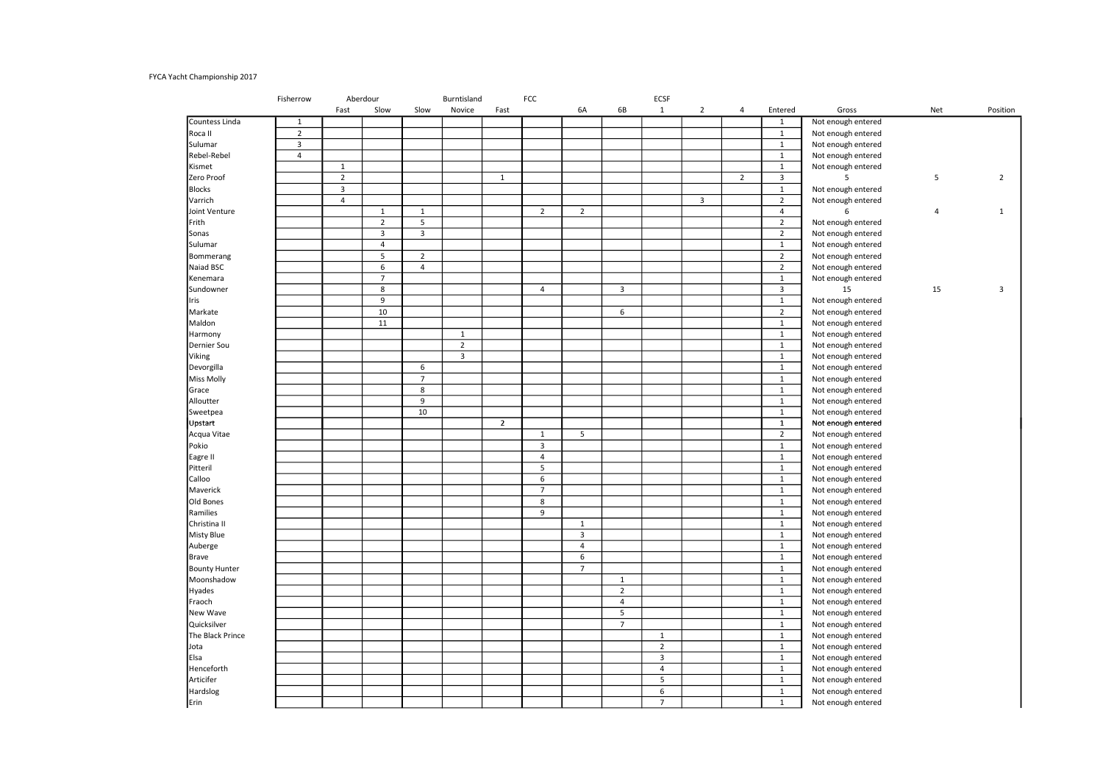## FYCA Yacht Championship 2017

|                      | Fisherrow      | Aberdour       |                | Burntisland    |                |                | FCC                              |                |                | <b>ECSF</b>             |                |                |                |                    |                |                |
|----------------------|----------------|----------------|----------------|----------------|----------------|----------------|----------------------------------|----------------|----------------|-------------------------|----------------|----------------|----------------|--------------------|----------------|----------------|
|                      |                | Fast           | Slow           | Slow           | Novice         | Fast           |                                  | 6A             | 6B             | $\mathbf{1}$            | $\overline{2}$ | 4              | Entered        | Gross              | Net            | Position       |
| Countess Linda       | $\mathbf{1}$   |                |                |                |                |                |                                  |                |                |                         |                |                | $\mathbf{1}$   | Not enough entered |                |                |
| Roca II              | $\overline{2}$ |                |                |                |                |                |                                  |                |                |                         |                |                | $\mathbf{1}$   | Not enough entered |                |                |
| Sulumar              | $\overline{3}$ |                |                |                |                |                |                                  |                |                |                         |                |                | $\mathbf{1}$   | Not enough entered |                |                |
| Rebel-Rebel          | $\overline{4}$ |                |                |                |                |                |                                  |                |                |                         |                |                | $1\,$          | Not enough entered |                |                |
| Kismet               |                | $\mathbf{1}$   |                |                |                |                |                                  |                |                |                         |                |                | $\mathbf{1}$   | Not enough entered |                |                |
| Zero Proof           |                | $\overline{2}$ |                |                |                | $\mathbf{1}$   |                                  |                |                |                         |                | $\overline{2}$ | 3              | 5                  | 5              | $\overline{2}$ |
| <b>Blocks</b>        |                | $\overline{3}$ |                |                |                |                |                                  |                |                |                         |                |                | $\mathbf{1}$   | Not enough entered |                |                |
| Varrich              |                | $\overline{4}$ |                |                |                |                |                                  |                |                |                         | $\overline{3}$ |                | $\overline{2}$ | Not enough entered |                |                |
| Joint Venture        |                |                | $\mathbf 1$    | $\mathbf{1}$   |                |                | $\overline{2}$                   | $\overline{2}$ |                |                         |                |                | $\overline{4}$ | 6                  | $\overline{4}$ | $\mathbf{1}$   |
| Frith                |                |                | $\overline{2}$ | 5              |                |                |                                  |                |                |                         |                |                | $\overline{2}$ | Not enough entered |                |                |
| Sonas                |                |                | 3              | 3              |                |                |                                  |                |                |                         |                |                | $\overline{2}$ | Not enough entered |                |                |
| Sulumar              |                |                | $\overline{4}$ |                |                |                |                                  |                |                |                         |                |                | $\mathbf 1$    | Not enough entered |                |                |
| Bommerang            |                |                | $\overline{5}$ | $\overline{2}$ |                |                |                                  |                |                |                         |                |                | $\overline{2}$ | Not enough entered |                |                |
| Naiad BSC            |                |                | 6              | $\overline{4}$ |                |                |                                  |                |                |                         |                |                | $\overline{2}$ | Not enough entered |                |                |
| Kenemara             |                |                | $\overline{7}$ |                |                |                |                                  |                |                |                         |                |                | $\mathbf{1}$   | Not enough entered |                |                |
| Sundowner            |                |                | $\overline{8}$ |                |                |                | $\overline{4}$                   |                | $\overline{3}$ |                         |                |                | 3              | 15                 | 15             | 3              |
| Iris                 |                |                | 9              |                |                |                |                                  |                |                |                         |                |                | $\mathbf{1}$   | Not enough entered |                |                |
| Markate              |                |                | 10             |                |                |                |                                  |                | 6              |                         |                |                | $\overline{2}$ | Not enough entered |                |                |
| Maldon               |                |                | 11             |                |                |                |                                  |                |                |                         |                |                | $\mathbf 1$    | Not enough entered |                |                |
| Harmony              |                |                |                |                | 1              |                |                                  |                |                |                         |                |                | $\mathbf{1}$   | Not enough entered |                |                |
| Dernier Sou          |                |                |                |                | $\overline{2}$ |                |                                  |                |                |                         |                |                | $\mathbf{1}$   | Not enough entered |                |                |
| Viking               |                |                |                |                | $\overline{3}$ |                |                                  |                |                |                         |                |                | $\mathbf{1}$   | Not enough entered |                |                |
| Devorgilla           |                |                |                | 6              |                |                |                                  |                |                |                         |                |                | $\mathbf{1}$   | Not enough entered |                |                |
| <b>Miss Molly</b>    |                |                |                | $\overline{7}$ |                |                |                                  |                |                |                         |                |                | $\mathbf{1}$   | Not enough entered |                |                |
| Grace                |                |                |                | 8              |                |                |                                  |                |                |                         |                |                | $\mathbf{1}$   | Not enough entered |                |                |
| Alloutter            |                |                |                | 9              |                |                |                                  |                |                |                         |                |                | $1\,$          | Not enough entered |                |                |
|                      |                |                |                | 10             |                |                |                                  |                |                |                         |                |                |                |                    |                |                |
| Sweetpea             |                |                |                |                |                | $\overline{2}$ |                                  |                |                |                         |                |                | $\mathbf{1}$   | Not enough entered |                |                |
| Upstart              |                |                |                |                |                |                |                                  |                |                |                         |                |                | $\mathbf{1}$   | Not enough entered |                |                |
| Acqua Vitae          |                |                |                |                |                |                | $\mathbf{1}$                     | 5              |                |                         |                |                | $\overline{2}$ | Not enough entered |                |                |
| Pokio                |                |                |                |                |                |                | $\overline{3}$<br>$\overline{4}$ |                |                |                         |                |                | $\mathbf 1$    | Not enough entered |                |                |
| Eagre II             |                |                |                |                |                |                |                                  |                |                |                         |                |                | $\mathbf{1}$   | Not enough entered |                |                |
| Pitteril             |                |                |                |                |                |                | 5                                |                |                |                         |                |                | $\mathbf{1}$   | Not enough entered |                |                |
| Calloo               |                |                |                |                |                |                | 6                                |                |                |                         |                |                | $1\,$          | Not enough entered |                |                |
| Maverick             |                |                |                |                |                |                | $\overline{7}$                   |                |                |                         |                |                | $\mathbf 1$    | Not enough entered |                |                |
| Old Bones            |                |                |                |                |                |                | 8                                |                |                |                         |                |                | $\mathbf{1}$   | Not enough entered |                |                |
| Ramilies             |                |                |                |                |                |                | 9                                |                |                |                         |                |                | $\mathbf 1$    | Not enough entered |                |                |
| Christina II         |                |                |                |                |                |                |                                  | $\mathbf 1$    |                |                         |                |                | $1\,$          | Not enough entered |                |                |
| <b>Misty Blue</b>    |                |                |                |                |                |                |                                  | $\overline{3}$ |                |                         |                |                | $\mathbf{1}$   | Not enough entered |                |                |
| Auberge              |                |                |                |                |                |                |                                  | $\overline{4}$ |                |                         |                |                | $\mathbf 1$    | Not enough entered |                |                |
| <b>Brave</b>         |                |                |                |                |                |                |                                  | 6              |                |                         |                |                | $\mathbf{1}$   | Not enough entered |                |                |
| <b>Bounty Hunter</b> |                |                |                |                |                |                |                                  | $\overline{7}$ |                |                         |                |                | $\mathbf{1}$   | Not enough entered |                |                |
| Moonshadow           |                |                |                |                |                |                |                                  |                | $\mathbf{1}$   |                         |                |                | $\mathbf{1}$   | Not enough entered |                |                |
| Hyades               |                |                |                |                |                |                |                                  |                | $\overline{2}$ |                         |                |                | $\mathbf 1$    | Not enough entered |                |                |
| Fraoch               |                |                |                |                |                |                |                                  |                | $\overline{4}$ |                         |                |                | $\mathbf 1$    | Not enough entered |                |                |
| New Wave             |                |                |                |                |                |                |                                  |                | 5              |                         |                |                | $\mathbf{1}$   | Not enough entered |                |                |
| Quicksilver          |                |                |                |                |                |                |                                  |                | $\overline{7}$ |                         |                |                | $\mathbf 1$    | Not enough entered |                |                |
| The Black Prince     |                |                |                |                |                |                |                                  |                |                | $\mathbf{1}$            |                |                | $\mathbf{1}$   | Not enough entered |                |                |
| Jota                 |                |                |                |                |                |                |                                  |                |                | $\overline{2}$          |                |                | $\mathbf{1}$   | Not enough entered |                |                |
| Elsa                 |                |                |                |                |                |                |                                  |                |                | $\overline{\mathbf{3}}$ |                |                | 1              | Not enough entered |                |                |
| Henceforth           |                |                |                |                |                |                |                                  |                |                | $\overline{4}$          |                |                | $\mathbf{1}$   | Not enough entered |                |                |
| Articifer            |                |                |                |                |                |                |                                  |                |                | 5                       |                |                | $\mathbf{1}$   | Not enough entered |                |                |
| Hardslog             |                |                |                |                |                |                |                                  |                |                | 6                       |                |                | $\mathbf{1}$   | Not enough entered |                |                |
| Erin                 |                |                |                |                |                |                |                                  |                |                | $\overline{7}$          |                |                | $\mathbf{1}$   | Not enough entered |                |                |
|                      |                |                |                |                |                |                |                                  |                |                |                         |                |                |                |                    |                |                |